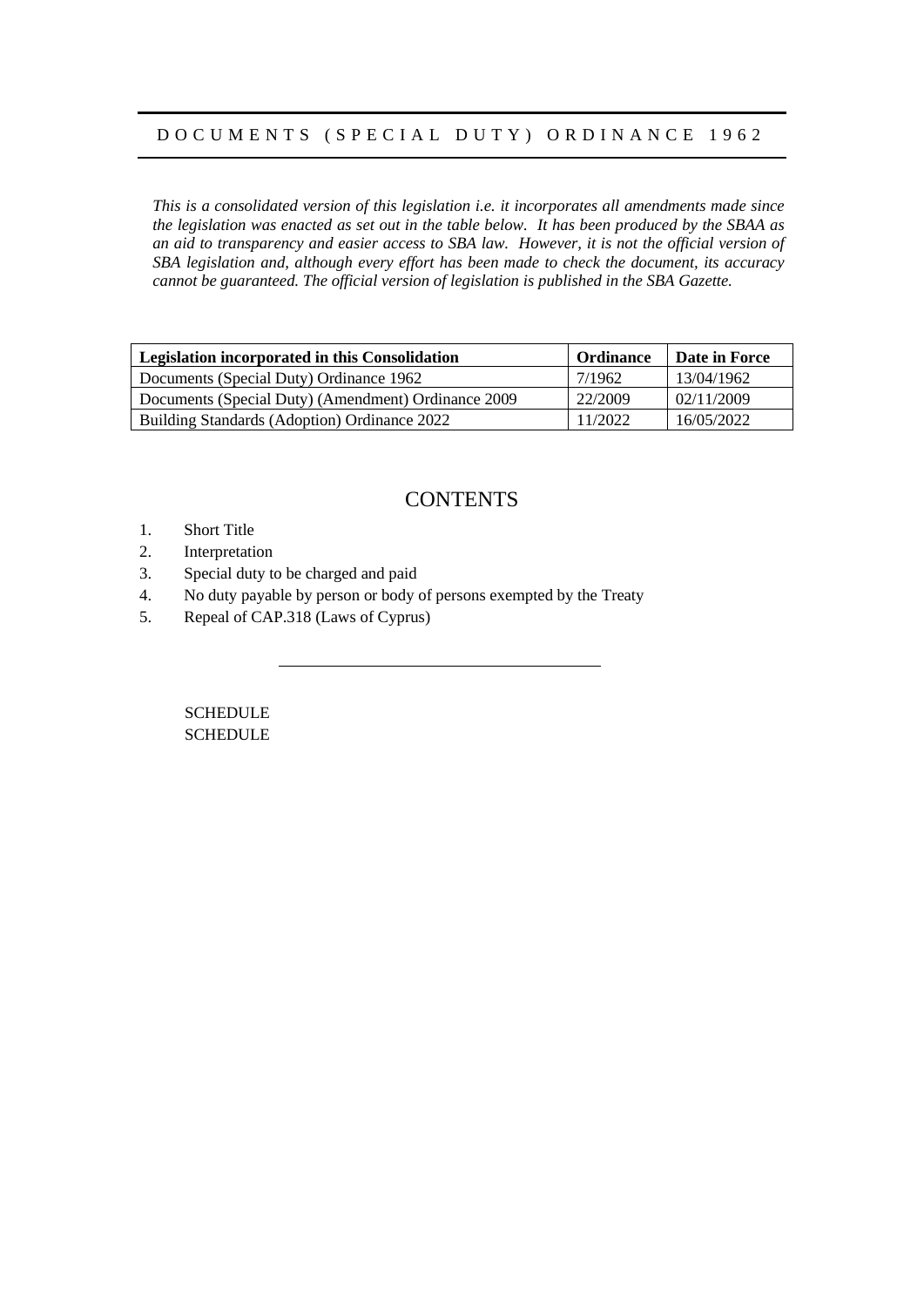### D O C U M E N T S ( S P E C I A L D U T Y ) O R D I N A N C E 1 9 6 2

*This is a consolidated version of this legislation i.e. it incorporates all amendments made since the legislation was enacted as set out in the table below. It has been produced by the SBAA as an aid to transparency and easier access to SBA law. However, it is not the official version of SBA legislation and, although every effort has been made to check the document, its accuracy cannot be guaranteed. The official version of legislation is published in the SBA Gazette.*

| Legislation incorporated in this Consolidation      | <b>Ordinance</b> | Date in Force |
|-----------------------------------------------------|------------------|---------------|
| Documents (Special Duty) Ordinance 1962             | 7/1962           | 13/04/1962    |
| Documents (Special Duty) (Amendment) Ordinance 2009 | 22/2009          | 02/11/2009    |
| Building Standards (Adoption) Ordinance 2022        | 11/2022          | 16/05/2022    |

## **CONTENTS**

- 1. Short Title
- 2. Interpretation
- 3. Special duty to be charged and paid
- 4. No duty payable by person or body of persons exempted by the Treaty
- 5. Repeal of CAP.318 (Laws of Cyprus)

SCHEDULE **SCHEDULE**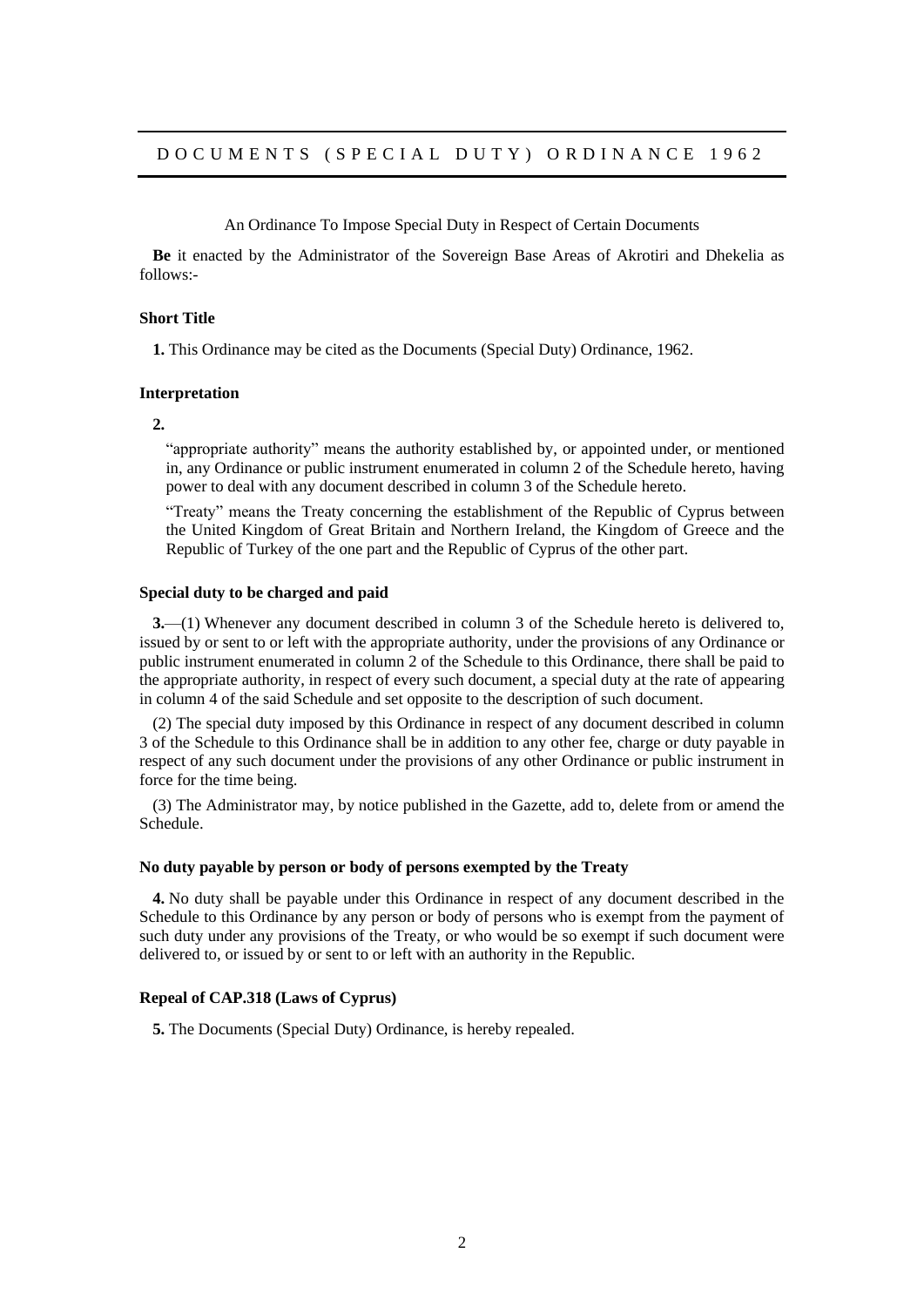An Ordinance To Impose Special Duty in Respect of Certain Documents

**Be** it enacted by the Administrator of the Sovereign Base Areas of Akrotiri and Dhekelia as follows:-

#### **Short Title**

**1.** This Ordinance may be cited as the Documents (Special Duty) Ordinance, 1962.

#### **Interpretation**

**2.**

"appropriate authority" means the authority established by, or appointed under, or mentioned in, any Ordinance or public instrument enumerated in column 2 of the Schedule hereto, having power to deal with any document described in column 3 of the Schedule hereto.

"Treaty" means the Treaty concerning the establishment of the Republic of Cyprus between the United Kingdom of Great Britain and Northern Ireland, the Kingdom of Greece and the Republic of Turkey of the one part and the Republic of Cyprus of the other part.

#### **Special duty to be charged and paid**

**3.**—(1) Whenever any document described in column 3 of the Schedule hereto is delivered to, issued by or sent to or left with the appropriate authority, under the provisions of any Ordinance or public instrument enumerated in column 2 of the Schedule to this Ordinance, there shall be paid to the appropriate authority, in respect of every such document, a special duty at the rate of appearing in column 4 of the said Schedule and set opposite to the description of such document.

(2) The special duty imposed by this Ordinance in respect of any document described in column 3 of the Schedule to this Ordinance shall be in addition to any other fee, charge or duty payable in respect of any such document under the provisions of any other Ordinance or public instrument in force for the time being.

(3) The Administrator may, by notice published in the Gazette, add to, delete from or amend the Schedule.

#### **No duty payable by person or body of persons exempted by the Treaty**

**4.** No duty shall be payable under this Ordinance in respect of any document described in the Schedule to this Ordinance by any person or body of persons who is exempt from the payment of such duty under any provisions of the Treaty, or who would be so exempt if such document were delivered to, or issued by or sent to or left with an authority in the Republic.

#### **Repeal of CAP.318 (Laws of Cyprus)**

**5.** The Documents (Special Duty) Ordinance, is hereby repealed.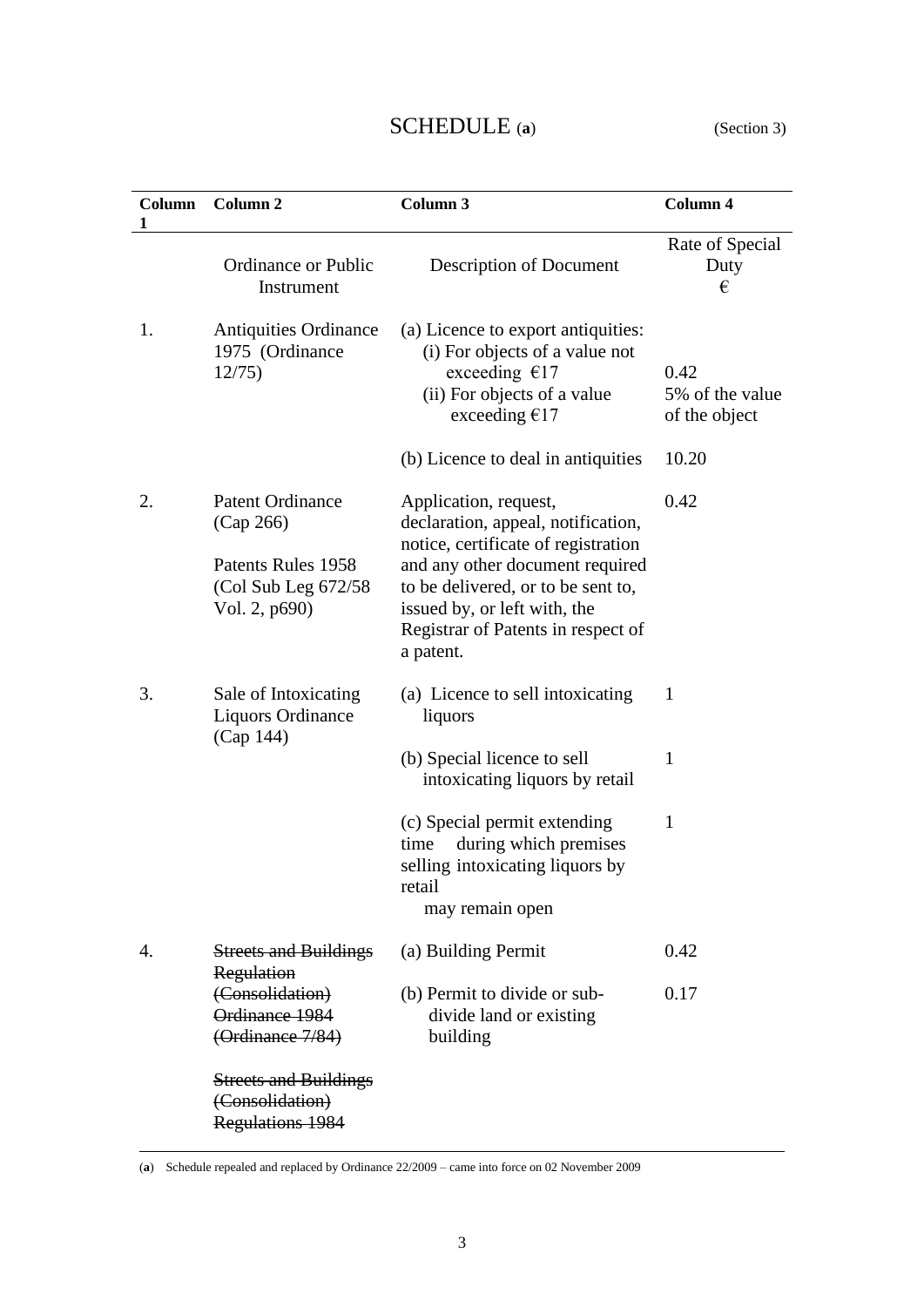# SCHEDULE (**a**) (Section 3)

| Column<br>1 | Column <sub>2</sub>                                                                                 | Column 3                                                                                                                                                                                                                                                       | Column 4                                 |
|-------------|-----------------------------------------------------------------------------------------------------|----------------------------------------------------------------------------------------------------------------------------------------------------------------------------------------------------------------------------------------------------------------|------------------------------------------|
|             | <b>Ordinance or Public</b><br>Instrument                                                            | Description of Document                                                                                                                                                                                                                                        | Rate of Special<br>Duty<br>€             |
| 1.          | <b>Antiquities Ordinance</b><br>1975 (Ordinance<br>12/75                                            | (a) Licence to export antiquities:<br>(i) For objects of a value not<br>exceeding $€17$<br>(ii) For objects of a value<br>exceeding $€17$                                                                                                                      | 0.42<br>5% of the value<br>of the object |
|             |                                                                                                     | (b) Licence to deal in antiquities                                                                                                                                                                                                                             | 10.20                                    |
| 2.          | <b>Patent Ordinance</b><br>(Cap 266)<br>Patents Rules 1958<br>(Col Sub Leg 672/58)<br>Vol. 2, p690) | Application, request,<br>declaration, appeal, notification,<br>notice, certificate of registration<br>and any other document required<br>to be delivered, or to be sent to,<br>issued by, or left with, the<br>Registrar of Patents in respect of<br>a patent. | 0.42                                     |
| 3.          | Sale of Intoxicating<br><b>Liquors Ordinance</b><br>(Cap 144)                                       | (a) Licence to sell intoxicating<br>liquors                                                                                                                                                                                                                    | 1                                        |
|             |                                                                                                     | (b) Special licence to sell<br>intoxicating liquors by retail                                                                                                                                                                                                  | 1                                        |
|             |                                                                                                     | (c) Special permit extending<br>during which premises<br>time<br>selling intoxicating liquors by<br>retail<br>may remain open                                                                                                                                  | 1                                        |
| 4.          | <b>Streets and Buildings</b><br>Regulation                                                          | (a) Building Permit                                                                                                                                                                                                                                            | 0.42                                     |
|             | (Consolidation)<br>Ordinance 1984<br>(Ordinance 7/84)                                               | (b) Permit to divide or sub-<br>divide land or existing<br>building                                                                                                                                                                                            | 0.17                                     |
|             | <b>Streets and Buildings</b><br>(Consolidation)<br><b>Regulations 1984</b>                          |                                                                                                                                                                                                                                                                |                                          |

(**a**) Schedule repealed and replaced by Ordinance 22/2009 – came into force on 02 November 2009